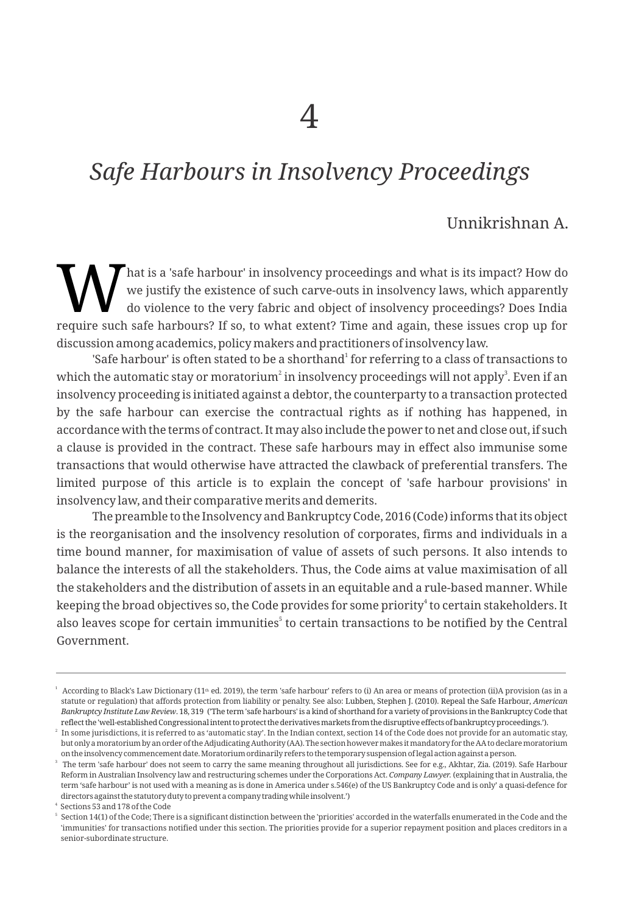# *Safe Harbours in Insolvency Proceedings*

# Unnikrishnan A.

That is a 'safe harbour' in insolvency proceedings and what is its impact? How do we justify the existence of such carve-outs in insolvency laws, which apparently do violence to the very fabric and object of insolvency pro we justify the existence of such carve-outs in insolvency laws, which apparently do violence to the very fabric and object of insolvency proceedings? Does India require such safe harbours? If so, to what extent? Time and again, these issues crop up for discussion among academics, policy makers and practitioners of insolvency law.

'Safe harbour' is often stated to be a shorthand<sup>1</sup> for referring to a class of transactions to which the automatic stay or moratorium<sup>2</sup> in insolvency proceedings will not apply<sup>3</sup>. Even if an insolvency proceeding is initiated against a debtor, the counterparty to a transaction protected by the safe harbour can exercise the contractual rights as if nothing has happened, in accordance with the terms of contract. It may also include the power to net and close out, if such a clause is provided in the contract. These safe harbours may in effect also immunise some transactions that would otherwise have attracted the clawback of preferential transfers. The limited purpose of this article is to explain the concept of 'safe harbour provisions' in insolvency law, and their comparative merits and demerits.

The preamble to the Insolvency and Bankruptcy Code, 2016 (Code) informs that its object is the reorganisation and the insolvency resolution of corporates, firms and individuals in a time bound manner, for maximisation of value of assets of such persons. It also intends to balance the interests of all the stakeholders. Thus, the Code aims at value maximisation of all the stakeholders and the distribution of assets in an equitable and a rule-based manner. While keeping the broad objectives so, the Code provides for some priority<sup>4</sup> to certain stakeholders. It also leaves scope for certain immunities $^{\circ}$  to certain transactions to be notified by the Central Government.

 $^{\rm 1}$  According to Black's Law Dictionary (11± ed. 2019), the term 'safe harbour' refers to (i) An area or means of protection (ii)A provision (as in a statute or regulation) that affords protection from liability or penalty. See also: Lubben, Stephen J. (2010). Repeal the Safe Harbour, *American Bankruptcy Institute Law Review*. 18, 319 ('The term 'safe harbours' is a kind of shorthand for a variety of provisions in the Bankruptcy Code that reflectthe'well-establishedCongressionalintenttoprotectthederivativesmarkets fromthedisruptiveeffectsofbankruptcyproceedings.').

 $^{\rm 2}$  In some jurisdictions, it is referred to as 'automatic stay'. In the Indian context, section 14 of the Code does not provide for an automatic stay, but only a moratorium by an order of the Adjudicating Authority (AA). The section however makes it mandatory for the AA to declare moratorium ontheinsolvencycommencementdate.Moratoriumordinarilyrefers tothetemporarysuspensionoflegalactionagainstaperson.

 $^{\rm 3}$  The term 'safe harbour' does not seem to carry the same meaning throughout all jurisdictions. See for e.g., Akhtar, Zia. (2019). Safe Harbour Reform in Australian Insolvency law and restructuring schemes under the Corporations Act. *Company Lawyer.* (explaining that in Australia, the term 'safe harbour' is not used with a meaning as is done in America under s.546(e) of the US Bankruptcy Code and is only' a quasi-defence for directors against the statutory duty to prevent a company trading while insolvent.')

<sup>4</sup> Sections 53 and 178 of the Code

Section 14(1) of the Code; There is a significant distinction between the 'priorities' accorded in the waterfalls enumerated in the Code and the 'immunities' for transactions notified under this section. The priorities provide for a superior repayment position and places creditors in a senior-subordinate structure.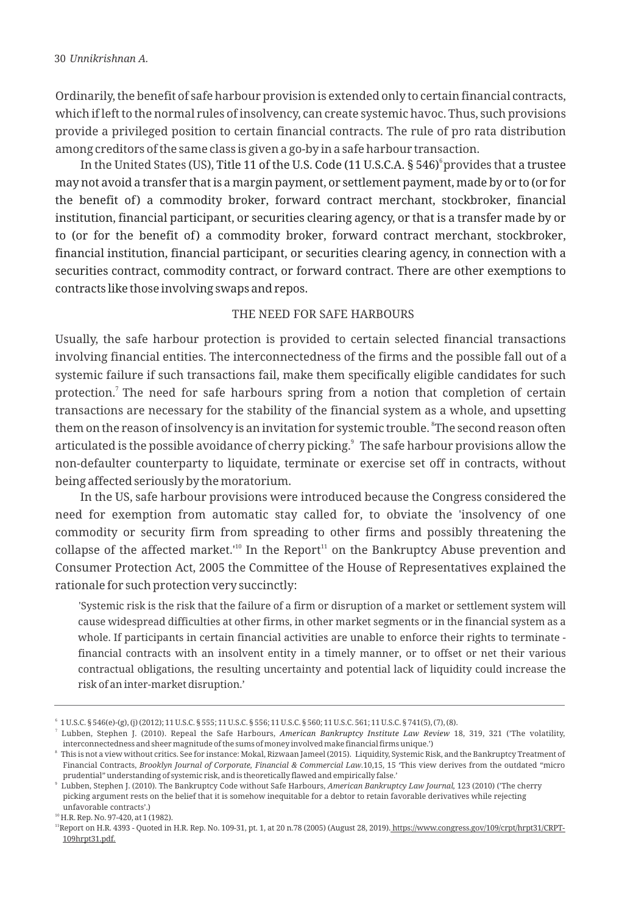Ordinarily, the benefit of safe harbour provision is extended only to certain financial contracts, which if left to the normal rules of insolvency, can create systemic havoc. Thus, such provisions provide a privileged position to certain financial contracts. The rule of pro rata distribution among creditors of the same class is given a go-by in a safe harbour transaction.

In the United States (US), Title 11 of the U.S. Code (11 U.S.C.A. § 546) provides that a trustee may not avoid a transfer that is a margin payment, or settlement payment, made by or to (or for the benefit of) a commodity broker, forward contract merchant, stockbroker, financial institution, financial participant, or securities clearing agency, or that is a transfer made by or to (or for the benefit of) a commodity broker, forward contract merchant, stockbroker, financial institution, financial participant, or securities clearing agency, in connection with a securities contract, commodity contract, or forward contract. There are other exemptions to contracts like those involving swaps and repos.

#### THE NEED FOR SAFE HARBOURS

Usually, the safe harbour protection is provided to certain selected financial transactions involving financial entities. The interconnectedness of the firms and the possible fall out of a systemic failure if such transactions fail, make them specifically eligible candidates for such protection.<sup> $7$ </sup> The need for safe harbours spring from a notion that completion of certain transactions are necessary for the stability of the financial system as a whole, and upsetting them on the reason of insolvency is an invitation for systemic trouble.  $\mathrm{^sThe}$  second reason often articulated is the possible avoidance of cherry picking. $^{\circ}\,$  The safe harbour provisions allow the non-defaulter counterparty to liquidate, terminate or exercise set off in contracts, without being affected seriously by the moratorium.

In the US, safe harbour provisions were introduced because the Congress considered the need for exemption from automatic stay called for, to obviate the 'insolvency of one commodity or security firm from spreading to other firms and possibly threatening the collapse of the affected market.<sup>110</sup> In the Report<sup>11</sup> on the Bankruptcy Abuse prevention and Consumer Protection Act, 2005 the Committee of the House of Representatives explained the rationale for such protection very succinctly:

'Systemic risk is the risk that the failure of a firm or disruption of a market or settlement system will cause widespread difficulties at other firms, in other market segments or in the financial system as a whole. If participants in certain financial activities are unable to enforce their rights to terminate financial contracts with an insolvent entity in a timely manner, or to offset or net their various contractual obligations, the resulting uncertainty and potential lack of liquidity could increase the risk of an inter-market disruption.'

<sup>6</sup> 1 U.S.C. § 546(e)-(g), (j) (2012); 11 U.S.C. § 555; 11 U.S.C. § 556; 11 U.S.C. § 560; 11 U.S.C. 561; 11 U.S.C. § 741(5), (7), (8).

<sup>7</sup> Lubben, Stephen J. (2010). Repeal the Safe Harbours, *American Bankruptcy Institute Law Review* 18, 319, 321 ('The volatility, interconnectedness and sheer magnitude of the sums of money involved make financial firms unique.')

 $^\mathrm{s}$  This is not a view without critics. See for instance: Mokal, Rizwaan Jameel (2015). Liquidity, Systemic Risk, and the Bankruptcy Treatment of Financial Contracts, *Brooklyn Journal of Corporate, Financial & Commercial Law.*10,15, 15 'This view derives from the outdated "micro prudential" understanding of systemic risk, and is theoretically flawed and empirically false.'

<sup>9</sup> Lubben, Stephen J. (2010). The Bankruptcy Code without Safe Harbours, *American Bankruptcy Law Journal,* 123 (2010) ('The cherry picking argument rests on the belief that it is somehow inequitable for a debtor to retain favorable derivatives while rejecting unfavorable contracts'.)

<sup>10</sup>H.R. Rep. No. 97-420, at 1 (1982).

<sup>&</sup>lt;sup>11</sup>Report on H.R. 4393 - Quoted in H.R. Rep. No. 109-31, pt. 1, at 20 n.78 (2005) (August 28, 2019). https://www.congress.gov/109/crpt/hrpt31/CRPT-109hrpt31.pdf.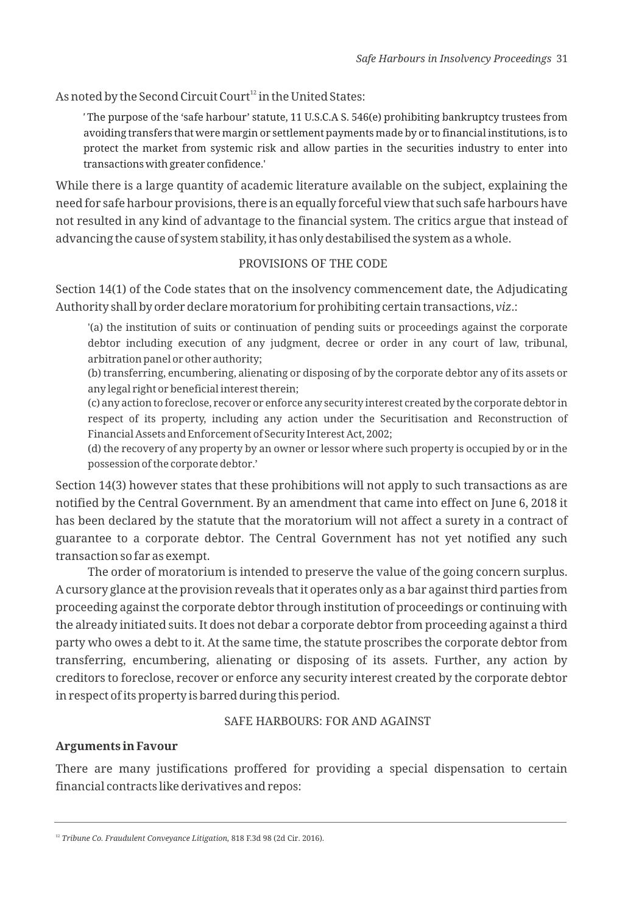As noted by the Second Circuit Court<sup>12</sup> in the United States:

*'* The purpose of the 'safe harbour' statute, 11 U.S.C.A S. 546(e) prohibiting bankruptcy trustees from avoiding transfers that were margin or settlement payments made by or to financial institutions, is to protect the market from systemic risk and allow parties in the securities industry to enter into transactions with greater confidence.'

While there is a large quantity of academic literature available on the subject, explaining the need for safe harbour provisions, there is an equally forceful view that such safe harbours have not resulted in any kind of advantage to the financial system. The critics argue that instead of advancing the cause of system stability, it has only destabilised the system as a whole.

#### PROVISIONS OF THE CODE

Section 14(1) of the Code states that on the insolvency commencement date, the Adjudicating Authority shall by order declare moratorium for prohibiting certain transactions, *viz*.:

'(a) the institution of suits or continuation of pending suits or proceedings against the corporate debtor including execution of any judgment, decree or order in any court of law, tribunal, arbitration panel or other authority;

(b) transferring, encumbering, alienating or disposing of by the corporate debtor any of its assets or any legal right or beneficial interest therein;

(c) any action to foreclose, recover or enforce any security interest created by the corporate debtor in respect of its property, including any action under the Securitisation and Reconstruction of Financial Assets and Enforcement of Security Interest Act, 2002;

(d) the recovery of any property by an owner or lessor where such property is occupied by or in the possession of the corporate debtor.'

Section 14(3) however states that these prohibitions will not apply to such transactions as are notified by the Central Government. By an amendment that came into effect on June 6, 2018 it has been declared by the statute that the moratorium will not affect a surety in a contract of guarantee to a corporate debtor. The Central Government has not yet notified any such transaction so far as exempt.

The order of moratorium is intended to preserve the value of the going concern surplus. A cursory glance at the provision reveals that it operates only as a bar against third parties from proceeding against the corporate debtor through institution of proceedings or continuing with the already initiated suits. It does not debar a corporate debtor from proceeding against a third party who owes a debt to it. At the same time, the statute proscribes the corporate debtor from transferring, encumbering, alienating or disposing of its assets. Further, any action by creditors to foreclose, recover or enforce any security interest created by the corporate debtor in respect of its property is barred during this period.

## SAFE HARBOURS: FOR AND AGAINST

## **Arguments in Favour**

There are many justifications proffered for providing a special dispensation to certain financial contracts like derivatives and repos:

<sup>&</sup>lt;sup>12</sup> *Tribune Co. Fraudulent Conveyance Litigation*, 818 F.3d 98 (2d Cir. 2016).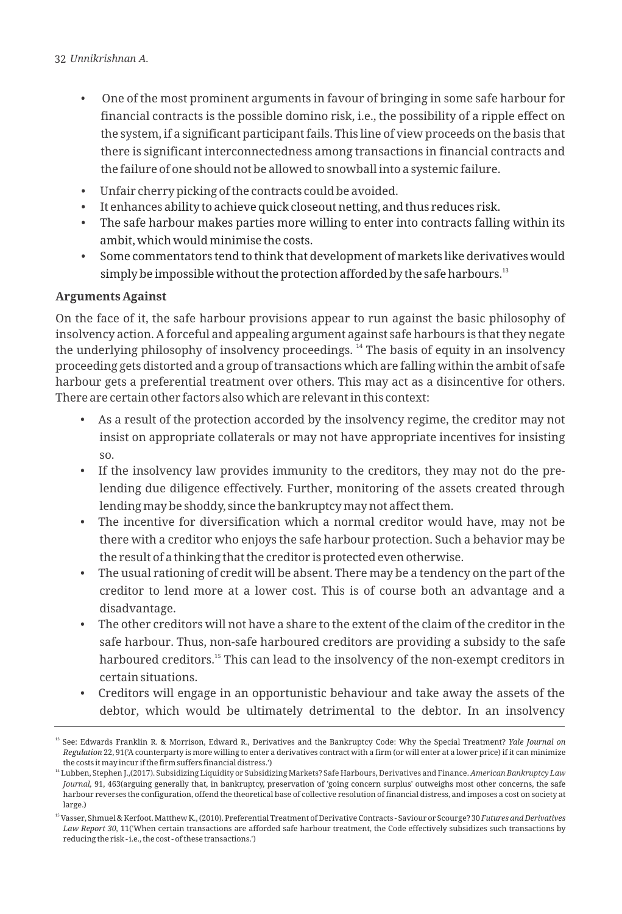- One of the most prominent arguments in favour of bringing in some safe harbour for financial contracts is the possible domino risk, i.e., the possibility of a ripple effect on the system, if a significant participant fails. This line of view proceeds on the basis that there is significant interconnectedness among transactions in financial contracts and the failure of one should not be allowed to snowball into a systemic failure.
- Unfair cherry picking of the contracts could be avoided.
- It enhances ability to achieve quick closeout netting, and thus reduces risk.
- The safe harbour makes parties more willing to enter into contracts falling within its ambit, which would minimise the costs.
- Some commentators tend to think that development of markets like derivatives would simply be impossible without the protection afforded by the safe harbours.<sup>13</sup>

# **Arguments Against**

On the face of it, the safe harbour provisions appear to run against the basic philosophy of insolvency action. A forceful and appealing argument against safe harbours is that they negate the underlying philosophy of insolvency proceedings. <sup>14</sup> The basis of equity in an insolvency proceeding gets distorted and a group of transactions which are falling within the ambit of safe harbour gets a preferential treatment over others. This may act as a disincentive for others. There are certain other factors also which are relevant in this context:

- As a result of the protection accorded by the insolvency regime, the creditor may not insist on appropriate collaterals or may not have appropriate incentives for insisting so.
- If the insolvency law provides immunity to the creditors, they may not do the prelending due diligence effectively. Further, monitoring of the assets created through lending may be shoddy, since the bankruptcy may not affect them.
- The incentive for diversification which a normal creditor would have, may not be there with a creditor who enjoys the safe harbour protection. Such a behavior may be the result of a thinking that the creditor is protected even otherwise.
- The usual rationing of credit will be absent. There may be a tendency on the part of the creditor to lend more at a lower cost. This is of course both an advantage and a disadvantage.
- The other creditors will not have a share to the extent of the claim of the creditor in the safe harbour. Thus, non-safe harboured creditors are providing a subsidy to the safe harboured creditors.<sup>15</sup> This can lead to the insolvency of the non-exempt creditors in certain situations.
- Creditors will engage in an opportunistic behaviour and take away the assets of the debtor, which would be ultimately detrimental to the debtor. In an insolvency

<sup>13</sup> See: Edwards Franklin R. & Morrison, Edward R., Derivatives and the Bankruptcy Code: Why the Special Treatment? *Yale Journal on Regulation* 22, 91('A counterparty is more willing to enter a derivatives contract with a firm (or will enter at a lower price) if it can minimize the costs it may incur if the firm suffers financial distress.')

<sup>14</sup> Lubben, Stephen J.,(2017). Subsidizing Liquidity or Subsidizing Markets? Safe Harbours, Derivatives and Finance. *American Bankruptcy Law Journal,* 91, 463(arguing generally that, in bankruptcy, preservation of 'going concern surplus' outweighs most other concerns, the safe harbour reverses the configuration, offend the theoretical base of collective resolution of financial distress, and imposes a cost on society at large.)

<sup>15</sup>Vasser, Shmuel & Kerfoot. Matthew K., (2010). Preferential Treatment of Derivative Contracts - Saviour or Scourge? 30 *Futures and Derivatives Law Report 30,* 11('When certain transactions are afforded safe harbour treatment, the Code effectively subsidizes such transactions by reducing the risk - i.e., the cost - of these transactions.')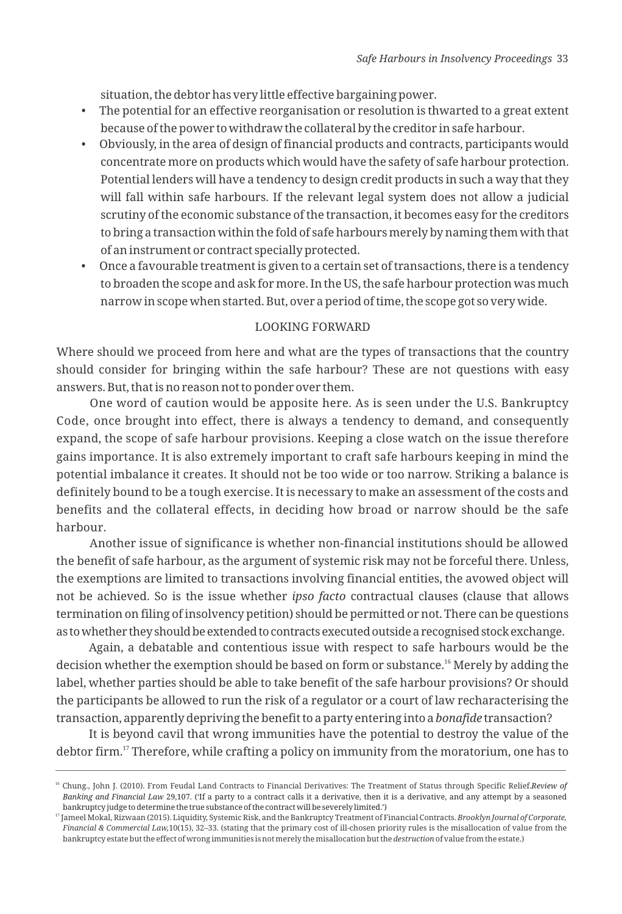situation, the debtor has very little effective bargaining power.

- The potential for an effective reorganisation or resolution is thwarted to a great extent because of the power to withdraw the collateral by the creditor in safe harbour.
- Obviously, in the area of design of financial products and contracts, participants would concentrate more on products which would have the safety of safe harbour protection. Potential lenders will have a tendency to design credit products in such a way that they will fall within safe harbours. If the relevant legal system does not allow a judicial scrutiny of the economic substance of the transaction, it becomes easy for the creditors to bring a transaction within the fold of safe harbours merely by naming them with that of an instrument or contract specially protected.
- Once a favourable treatment is given to a certain set of transactions, there is a tendency to broaden the scope and ask for more. In the US, the safe harbour protection was much narrow in scope when started. But, over a period of time, the scope got so very wide.

#### LOOKING FORWARD

Where should we proceed from here and what are the types of transactions that the country should consider for bringing within the safe harbour? These are not questions with easy answers. But, that is no reason not to ponder over them.

One word of caution would be apposite here. As is seen under the U.S. Bankruptcy Code, once brought into effect, there is always a tendency to demand, and consequently expand, the scope of safe harbour provisions. Keeping a close watch on the issue therefore gains importance. It is also extremely important to craft safe harbours keeping in mind the potential imbalance it creates. It should not be too wide or too narrow. Striking a balance is definitely bound to be a tough exercise. It is necessary to make an assessment of the costs and benefits and the collateral effects, in deciding how broad or narrow should be the safe harbour.

Another issue of significance is whether non-financial institutions should be allowed the benefit of safe harbour, as the argument of systemic risk may not be forceful there. Unless, the exemptions are limited to transactions involving financial entities, the avowed object will not be achieved. So is the issue whether *ipso facto* contractual clauses (clause that allows termination on filing of insolvency petition) should be permitted or not. There can be questions as towhether theyshouldbeextendedtocontractsexecutedoutsidearecognisedstockexchange.

Again, a debatable and contentious issue with respect to safe harbours would be the decision whether the exemption should be based on form or substance.<sup>16</sup> Merely by adding the label, whether parties should be able to take benefit of the safe harbour provisions? Or should the participants be allowed to run the risk of a regulator or a court of law recharacterising the transaction, apparently depriving the benefit to a party entering into a *bonafide* transaction?

It is beyond cavil that wrong immunities have the potential to destroy the value of the debtor firm.<sup>17</sup> Therefore, while crafting a policy on immunity from the moratorium, one has to

<sup>16</sup> Chung., John J. (2010). From Feudal Land Contracts to Financial Derivatives: The Treatment of Status through Specific Relief.*Review of Banking and Financial Law* 29,107. ('If a party to a contract calls it a derivative, then it is a derivative, and any attempt by a seasoned bankruptcy judge to determine the true substance of the contract will be severely limited.')

<sup>17</sup> Jameel Mokal, Rizwaan (2015). Liquidity, Systemic Risk, and the Bankruptcy Treatment of Financial Contracts. *Brooklyn Journal of Corporate, Financial & Commercial Law,*10(15), 32–33. (stating that the primary cost of ill-chosen priority rules is the misallocation of value from the bankruptcy estate but the effect of wrong immunities is not merely the misallocation but the *destruction* of value from the estate.)